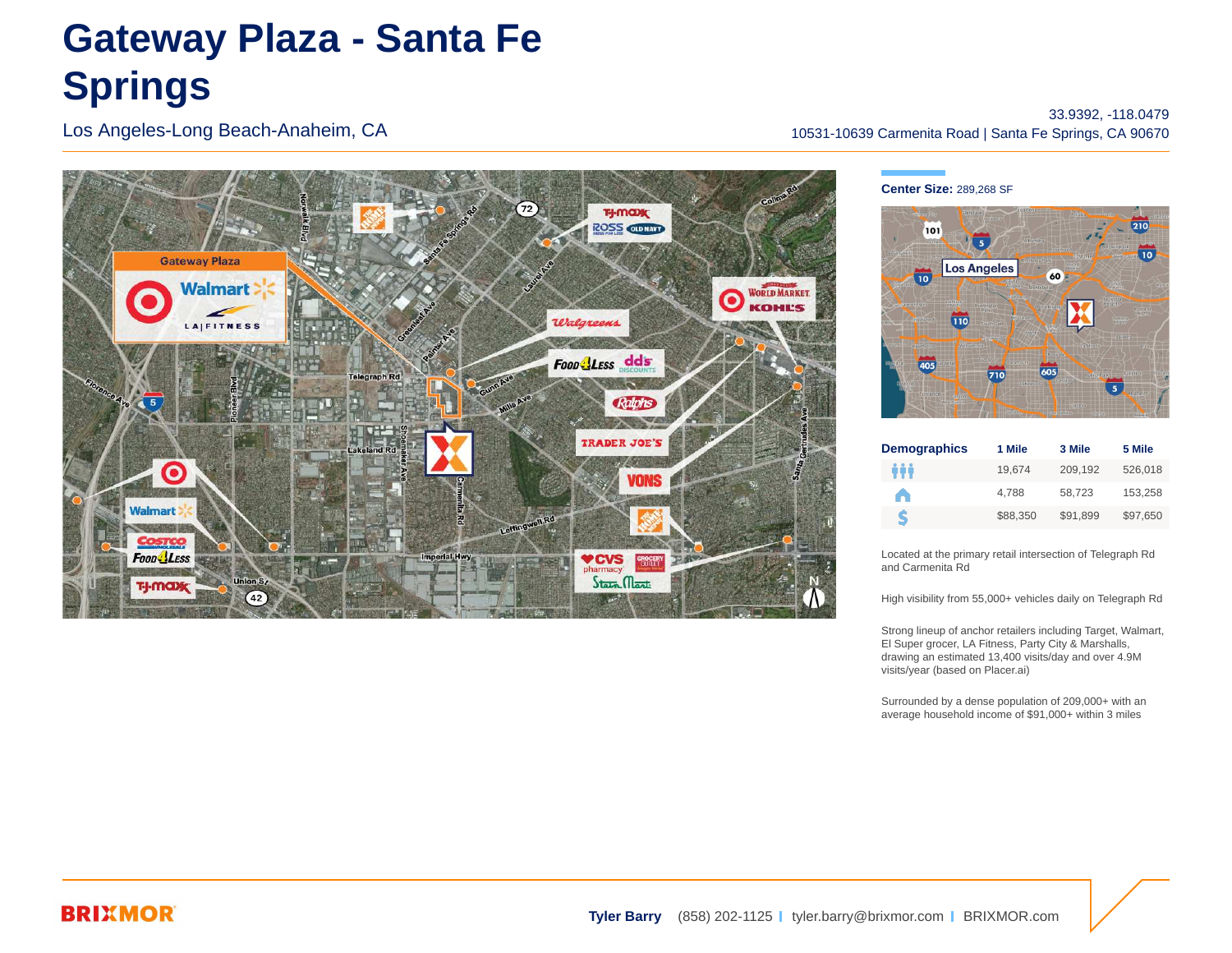# **Gateway Plaza - Santa Fe Springs**

Los Angeles-Long Beach-Anaheim, CA

 $72)$ **T-J-MODEC ROSS OUNAV Gateway Plaza Walmart**: WORLD MARKET.  $\overline{\mathbf{o}}$ **KOHL'S** Walgreens **LAIFITNESS** Foon LEss dds **TRADER JOE'S Walmart Foon-LESS VCVS** Stain Mart T-I MOD 9

#### 33.9392, -118.0479 10531-10639 Carmenita Road | Santa Fe Springs, CA 90670

**Center Size:** 289,268 SF



| <b>Demographics</b> | 1 Mile   | 3 Mile   | 5 Mile   |
|---------------------|----------|----------|----------|
| ÷÷                  | 19.674   | 209.192  | 526,018  |
| A                   | 4.788    | 58.723   | 153.258  |
| S                   | \$88.350 | \$91.899 | \$97,650 |

Located at the primary retail intersection of Telegraph Rd and Carmenita Rd

High visibility from 55,000+ vehicles daily on Telegraph Rd

Strong lineup of anchor retailers including Target, Walmart, El Super grocer, LA Fitness, Party City & Marshalls, drawing an estimated 13,400 visits/day and over 4.9M visits/year (based on Placer.ai)

Surrounded by a dense population of 209,000+ with an average household income of \$91,000+ within 3 miles